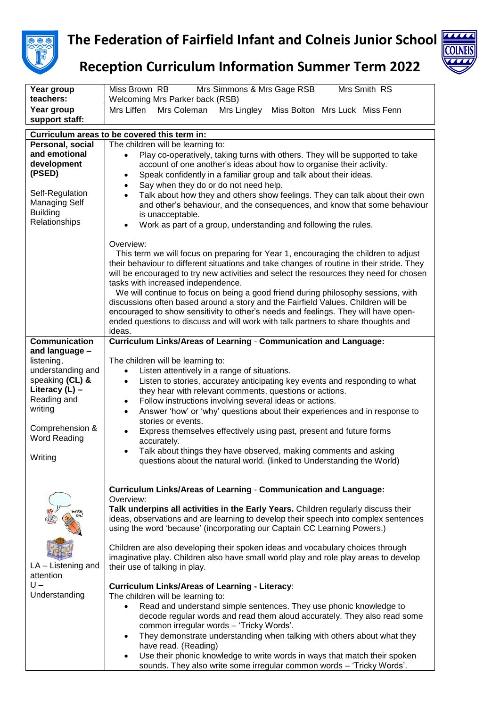

## **The Federation of Fairfield Infant and Colneis Junior School**



## **Reception Curriculum Information Summer Term 2022**

| teachers:<br>Welcoming Mrs Parker back (RSB)                                                                                                                                               |
|--------------------------------------------------------------------------------------------------------------------------------------------------------------------------------------------|
| Mrs Lingley<br>Miss Bolton Mrs Luck Miss Fenn<br>Year group<br>Mrs Liffen<br>Mrs Coleman                                                                                                   |
| support staff:                                                                                                                                                                             |
| Curriculum areas to be covered this term in:<br>Personal, social                                                                                                                           |
| The children will be learning to:<br>and emotional<br>Play co-operatively, taking turns with others. They will be supported to take<br>$\bullet$                                           |
| development<br>account of one another's ideas about how to organise their activity.                                                                                                        |
| (PSED)<br>Speak confidently in a familiar group and talk about their ideas.<br>$\bullet$                                                                                                   |
| Say when they do or do not need help.<br>$\bullet$                                                                                                                                         |
| Self-Regulation<br>Talk about how they and others show feelings. They can talk about their own<br>$\bullet$                                                                                |
| <b>Managing Self</b><br>and other's behaviour, and the consequences, and know that some behaviour<br><b>Building</b>                                                                       |
| is unacceptable.<br>Relationships                                                                                                                                                          |
| Work as part of a group, understanding and following the rules.<br>$\bullet$                                                                                                               |
| Overview:                                                                                                                                                                                  |
| This term we will focus on preparing for Year 1, encouraging the children to adjust                                                                                                        |
| their behaviour to different situations and take changes of routine in their stride. They                                                                                                  |
| will be encouraged to try new activities and select the resources they need for chosen<br>tasks with increased independence.                                                               |
| We will continue to focus on being a good friend during philosophy sessions, with                                                                                                          |
| discussions often based around a story and the Fairfield Values. Children will be                                                                                                          |
| encouraged to show sensitivity to other's needs and feelings. They will have open-                                                                                                         |
| ended questions to discuss and will work with talk partners to share thoughts and<br>ideas.                                                                                                |
| <b>Communication</b><br><b>Curriculum Links/Areas of Learning - Communication and Language:</b>                                                                                            |
| and language -                                                                                                                                                                             |
| listening,<br>The children will be learning to:                                                                                                                                            |
| understanding and<br>Listen attentively in a range of situations.<br>$\bullet$                                                                                                             |
| speaking (CL) &<br>Listen to stories, accuratey anticipating key events and responding to what<br>$\bullet$<br>Literacy $(L)$ –<br>they hear with relevant comments, questions or actions. |
| Reading and<br>Follow instructions involving several ideas or actions.<br>$\bullet$                                                                                                        |
| writing<br>Answer 'how' or 'why' questions about their experiences and in response to<br>$\bullet$                                                                                         |
| stories or events.                                                                                                                                                                         |
| Comprehension &<br>Express themselves effectively using past, present and future forms<br>$\bullet$<br><b>Word Reading</b>                                                                 |
| accurately.                                                                                                                                                                                |
| Talk about things they have observed, making comments and asking<br>$\bullet$<br>Writing<br>questions about the natural world. (linked to Understanding the World)                         |
|                                                                                                                                                                                            |
|                                                                                                                                                                                            |
| <b>Curriculum Links/Areas of Learning - Communication and Language:</b><br>Overview:                                                                                                       |
| Talk underpins all activities in the Early Years. Children regularly discuss their                                                                                                         |
| ideas, observations and are learning to develop their speech into complex sentences                                                                                                        |
| using the word 'because' (incorporating our Captain CC Learning Powers.)                                                                                                                   |
| Children are also developing their spoken ideas and vocabulary choices through                                                                                                             |
| imaginative play. Children also have small world play and role play areas to develop                                                                                                       |
| LA - Listening and<br>their use of talking in play.                                                                                                                                        |
| attention                                                                                                                                                                                  |
| $U -$<br><b>Curriculum Links/Areas of Learning - Literacy:</b><br>Understanding                                                                                                            |
| The children will be learning to:<br>Read and understand simple sentences. They use phonic knowledge to<br>$\bullet$                                                                       |
| decode regular words and read them aloud accurately. They also read some                                                                                                                   |
| common irregular words - 'Tricky Words'.                                                                                                                                                   |
| They demonstrate understanding when talking with others about what they<br>$\bullet$                                                                                                       |
| have read. (Reading)                                                                                                                                                                       |
| Use their phonic knowledge to write words in ways that match their spoken<br>٠<br>sounds. They also write some irregular common words - 'Tricky Words'.                                    |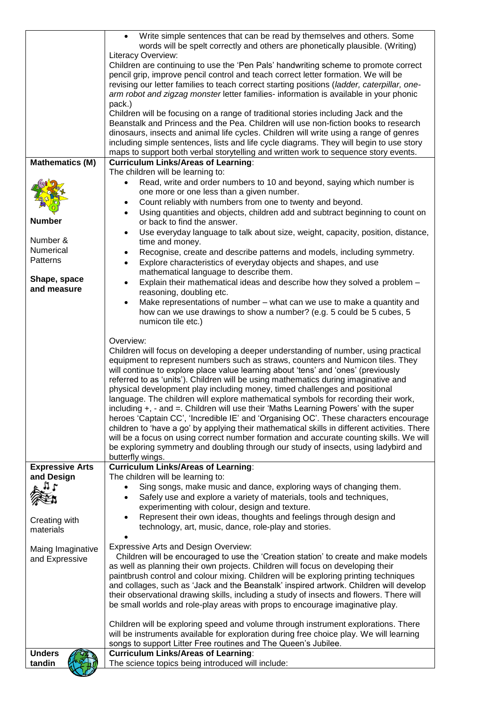|                            | Write simple sentences that can be read by themselves and others. Some                                                                                                            |
|----------------------------|-----------------------------------------------------------------------------------------------------------------------------------------------------------------------------------|
|                            | words will be spelt correctly and others are phonetically plausible. (Writing)                                                                                                    |
|                            | Literacy Overview:<br>Children are continuing to use the 'Pen Pals' handwriting scheme to promote correct                                                                         |
|                            | pencil grip, improve pencil control and teach correct letter formation. We will be                                                                                                |
|                            | revising our letter families to teach correct starting positions (ladder, caterpillar, one-                                                                                       |
|                            | arm robot and zigzag monster letter families- information is available in your phonic                                                                                             |
|                            | pack.)                                                                                                                                                                            |
|                            | Children will be focusing on a range of traditional stories including Jack and the                                                                                                |
|                            | Beanstalk and Princess and the Pea. Children will use non-fiction books to research                                                                                               |
|                            | dinosaurs, insects and animal life cycles. Children will write using a range of genres<br>including simple sentences, lists and life cycle diagrams. They will begin to use story |
|                            | maps to support both verbal storytelling and written work to sequence story events.                                                                                               |
| <b>Mathematics (M)</b>     | <b>Curriculum Links/Areas of Learning:</b>                                                                                                                                        |
|                            | The children will be learning to:                                                                                                                                                 |
|                            | Read, write and order numbers to 10 and beyond, saying which number is<br>$\bullet$                                                                                               |
|                            | one more or one less than a given number.                                                                                                                                         |
|                            | Count reliably with numbers from one to twenty and beyond.<br>$\bullet$                                                                                                           |
|                            | Using quantities and objects, children add and subtract beginning to count on<br>$\bullet$                                                                                        |
| <b>Number</b>              | or back to find the answer.                                                                                                                                                       |
| Number &                   | Use everyday language to talk about size, weight, capacity, position, distance,<br>$\bullet$<br>time and money.                                                                   |
| Numerical                  | Recognise, create and describe patterns and models, including symmetry.<br>$\bullet$                                                                                              |
| Patterns                   | Explore characteristics of everyday objects and shapes, and use<br>$\bullet$                                                                                                      |
|                            | mathematical language to describe them.                                                                                                                                           |
| Shape, space               | Explain their mathematical ideas and describe how they solved a problem -<br>$\bullet$                                                                                            |
| and measure                | reasoning, doubling etc.                                                                                                                                                          |
|                            | Make representations of number - what can we use to make a quantity and<br>$\bullet$                                                                                              |
|                            | how can we use drawings to show a number? (e.g. 5 could be 5 cubes, 5                                                                                                             |
|                            | numicon tile etc.)                                                                                                                                                                |
|                            | Overview:                                                                                                                                                                         |
|                            | Children will focus on developing a deeper understanding of number, using practical                                                                                               |
|                            | equipment to represent numbers such as straws, counters and Numicon tiles. They                                                                                                   |
|                            | will continue to explore place value learning about 'tens' and 'ones' (previously                                                                                                 |
|                            | referred to as 'units'). Children will be using mathematics during imaginative and                                                                                                |
|                            | physical development play including money, timed challenges and positional<br>language. The children will explore mathematical symbols for recording their work,                  |
|                            | including $+$ , $-$ and $=$ . Children will use their 'Maths Learning Powers' with the super                                                                                      |
|                            | heroes 'Captain CC', 'Incredible IE' and 'Organising OC'. These characters encourage                                                                                              |
|                            | children to 'have a go' by applying their mathematical skills in different activities. There                                                                                      |
|                            | will be a focus on using correct number formation and accurate counting skills. We will                                                                                           |
|                            | be exploring symmetry and doubling through our study of insects, using ladybird and                                                                                               |
|                            | butterfly wings.                                                                                                                                                                  |
| <b>Expressive Arts</b>     | <b>Curriculum Links/Areas of Learning:</b>                                                                                                                                        |
| and Design<br>7r           | The children will be learning to:                                                                                                                                                 |
|                            | Sing songs, make music and dance, exploring ways of changing them.<br>$\bullet$<br>Safely use and explore a variety of materials, tools and techniques,                           |
|                            | experimenting with colour, design and texture.                                                                                                                                    |
|                            | Represent their own ideas, thoughts and feelings through design and<br>$\bullet$                                                                                                  |
| Creating with<br>materials | technology, art, music, dance, role-play and stories.                                                                                                                             |
|                            |                                                                                                                                                                                   |
| Maing Imaginative          | <b>Expressive Arts and Design Overview:</b>                                                                                                                                       |
| and Expressive             | Children will be encouraged to use the 'Creation station' to create and make models                                                                                               |
|                            | as well as planning their own projects. Children will focus on developing their                                                                                                   |
|                            | paintbrush control and colour mixing. Children will be exploring printing techniques<br>and collages, such as 'Jack and the Beanstalk' inspired artwork. Children will develop    |
|                            | their observational drawing skills, including a study of insects and flowers. There will                                                                                          |
|                            | be small worlds and role-play areas with props to encourage imaginative play.                                                                                                     |
|                            |                                                                                                                                                                                   |
|                            | Children will be exploring speed and volume through instrument explorations. There                                                                                                |
|                            | will be instruments available for exploration during free choice play. We will learning                                                                                           |
|                            | songs to support Litter Free routines and The Queen's Jubilee.                                                                                                                    |
| <b>Unders</b>              | <b>Curriculum Links/Areas of Learning:</b>                                                                                                                                        |
| tandin                     | The science topics being introduced will include:                                                                                                                                 |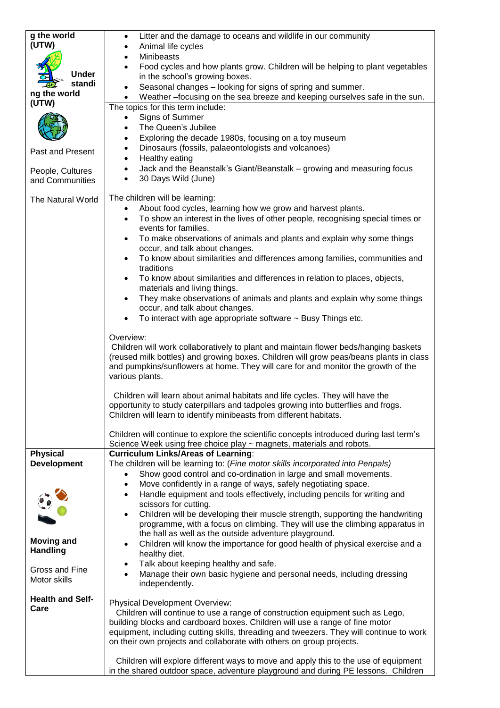| g the world                          | Litter and the damage to oceans and wildlife in our community<br>٠                                                                                                             |
|--------------------------------------|--------------------------------------------------------------------------------------------------------------------------------------------------------------------------------|
| (UTW)                                | Animal life cycles                                                                                                                                                             |
|                                      | Minibeasts                                                                                                                                                                     |
| <b>Under</b>                         | Food cycles and how plants grow. Children will be helping to plant vegetables                                                                                                  |
| standi                               | in the school's growing boxes.<br>Seasonal changes - looking for signs of spring and summer.<br>$\bullet$                                                                      |
| ng the world                         | Weather -focusing on the sea breeze and keeping ourselves safe in the sun.                                                                                                     |
| (UTW)                                | The topics for this term include:                                                                                                                                              |
|                                      | Signs of Summer<br>$\bullet$                                                                                                                                                   |
|                                      | The Queen's Jubilee                                                                                                                                                            |
|                                      | Exploring the decade 1980s, focusing on a toy museum<br>$\bullet$                                                                                                              |
| Past and Present                     | Dinosaurs (fossils, palaeontologists and volcanoes)<br>٠                                                                                                                       |
|                                      | Healthy eating<br>$\bullet$                                                                                                                                                    |
| People, Cultures                     | Jack and the Beanstalk's Giant/Beanstalk - growing and measuring focus<br>$\bullet$                                                                                            |
| and Communities                      | 30 Days Wild (June)<br>$\bullet$                                                                                                                                               |
| The Natural World                    | The children will be learning:                                                                                                                                                 |
|                                      | About food cycles, learning how we grow and harvest plants.<br>$\bullet$                                                                                                       |
|                                      | To show an interest in the lives of other people, recognising special times or<br>$\bullet$                                                                                    |
|                                      | events for families.                                                                                                                                                           |
|                                      | To make observations of animals and plants and explain why some things<br>$\bullet$                                                                                            |
|                                      | occur, and talk about changes.                                                                                                                                                 |
|                                      | To know about similarities and differences among families, communities and<br>$\bullet$                                                                                        |
|                                      | traditions<br>To know about similarities and differences in relation to places, objects,<br>$\bullet$                                                                          |
|                                      | materials and living things.                                                                                                                                                   |
|                                      | They make observations of animals and plants and explain why some things<br>$\bullet$                                                                                          |
|                                      | occur, and talk about changes.                                                                                                                                                 |
|                                      | To interact with age appropriate software $\sim$ Busy Things etc.<br>٠                                                                                                         |
|                                      |                                                                                                                                                                                |
|                                      | Overview:                                                                                                                                                                      |
|                                      | Children will work collaboratively to plant and maintain flower beds/hanging baskets<br>(reused milk bottles) and growing boxes. Children will grow peas/beans plants in class |
|                                      | and pumpkins/sunflowers at home. They will care for and monitor the growth of the                                                                                              |
|                                      | various plants.                                                                                                                                                                |
|                                      |                                                                                                                                                                                |
|                                      | Children will learn about animal habitats and life cycles. They will have the                                                                                                  |
|                                      | opportunity to study caterpillars and tadpoles growing into butterflies and frogs.<br>Children will learn to identify minibeasts from different habitats.                      |
|                                      |                                                                                                                                                                                |
|                                      | Children will continue to explore the scientific concepts introduced during last term's                                                                                        |
|                                      | Science Week using free choice play ~ magnets, materials and robots.                                                                                                           |
| <b>Physical</b>                      | <b>Curriculum Links/Areas of Learning:</b>                                                                                                                                     |
| <b>Development</b>                   | The children will be learning to: (Fine motor skills incorporated into Penpals)                                                                                                |
|                                      | Show good control and co-ordination in large and small movements.                                                                                                              |
|                                      | Move confidently in a range of ways, safely negotiating space.<br>٠<br>Handle equipment and tools effectively, including pencils for writing and<br>٠                          |
|                                      | scissors for cutting.                                                                                                                                                          |
|                                      | Children will be developing their muscle strength, supporting the handwriting<br>$\bullet$                                                                                     |
|                                      | programme, with a focus on climbing. They will use the climbing apparatus in                                                                                                   |
|                                      | the hall as well as the outside adventure playground.                                                                                                                          |
| <b>Moving and</b><br><b>Handling</b> | Children will know the importance for good health of physical exercise and a<br>$\bullet$                                                                                      |
|                                      | healthy diet.                                                                                                                                                                  |
| Gross and Fine                       | Talk about keeping healthy and safe.<br>٠<br>$\bullet$                                                                                                                         |
| Motor skills                         | Manage their own basic hygiene and personal needs, including dressing<br>independently.                                                                                        |
|                                      |                                                                                                                                                                                |
| <b>Health and Self-</b>              | <b>Physical Development Overview:</b>                                                                                                                                          |
| Care                                 | Children will continue to use a range of construction equipment such as Lego,                                                                                                  |
|                                      | building blocks and cardboard boxes. Children will use a range of fine motor                                                                                                   |
|                                      | equipment, including cutting skills, threading and tweezers. They will continue to work                                                                                        |
|                                      | on their own projects and collaborate with others on group projects.                                                                                                           |
|                                      | Children will explore different ways to move and apply this to the use of equipment                                                                                            |
|                                      | in the shared outdoor space, adventure playground and during PE lessons. Children                                                                                              |